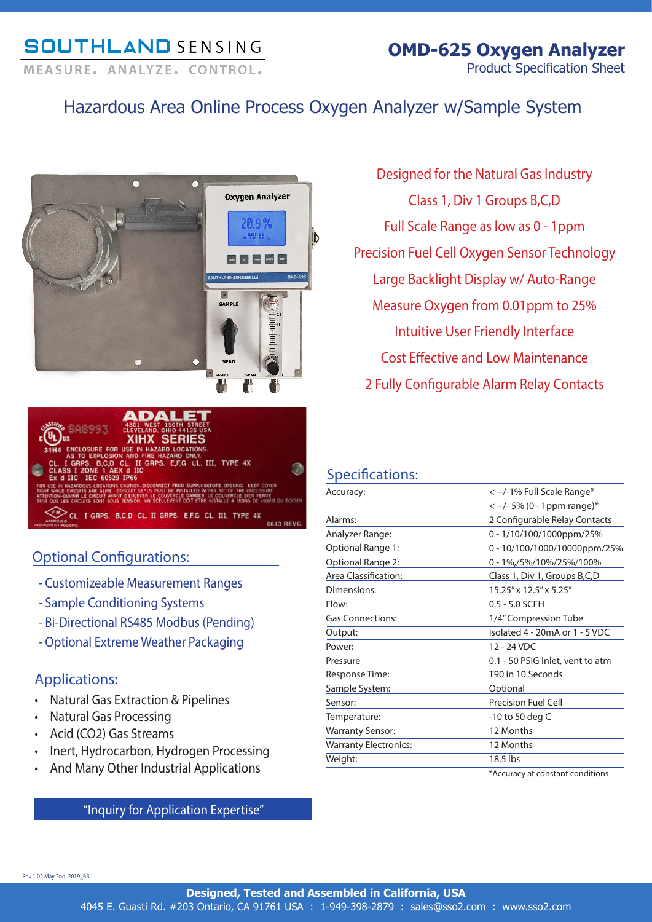# **SOUTHLAND SENSING**

MEASURE, ANALYZE, CONTROL,

## Hazardous Area Online Process Oxygen Analyzer w/Sample System





### Optional Configurations:

- Customizeable Measurement Ranges
- Sample Conditioning Systems
- Bi-Directional RS485 Modbus (Pending)
- Optional Extreme Weather Packaging

### Applications:

- Natural Gas Extraction & Pipelines
- Natural Gas Processing
- Acid (CO2) Gas Streams
- Inert, Hydrocarbon, Hydrogen Processing
- And Many Other Industrial Applications

"Inquiry for Application Expertise"

Designed for the Natural Gas Industry Class 1, Div 1 Groups B,C,D Full Scale Range as low as 0 - 1ppm Precision Fuel Cell Oxygen Sensor Technology Large Backlight Display w/ Auto-Range Measure Oxygen from 0.01ppm to 25% Intuitive User Friendly Interface Cost Effective and Low Maintenance 2 Fully Configurable Alarm Relay Contacts

### Specifications:

| Accuracy:                    | < +/-1% Full Scale Range*            |
|------------------------------|--------------------------------------|
|                              | $< +/- 5\%$ (0 - 1ppm range)*        |
| Alarms:                      | 2 Configurable Relay Contacts        |
| Analyzer Range:              | 0 - 1/10/100/1000ppm/25%             |
| Optional Range 1:            | 0 - 10/100/1000/10000ppm/25%         |
| Optional Range 2:            | 0 - 1%,/5%/10%/25%/100%              |
| Area Classification:         | Class 1, Div 1, Groups B, C, D       |
| Dimensions:                  | 15.25" x 12.5" x 5.25"               |
| Flow:                        | $0.5 - 5.0$ SCFH                     |
| <b>Gas Connections:</b>      | 1/4" Compression Tube                |
| Output:                      | Isolated 4 - 20mA or 1 - 5 VDC       |
| Power:                       | $12 - 24$ VDC                        |
| Pressure                     | 0.1 - 50 PSIG Inlet, vent to atm     |
| Response Time:               | T90 in 10 Seconds                    |
| Sample System:               | Optional                             |
| Sensor:                      | <b>Precision Fuel Cell</b>           |
| Temperature:                 | $-10$ to 50 deg C                    |
| <b>Warranty Sensor:</b>      | 12 Months                            |
| <b>Warranty Electronics:</b> | 12 Months                            |
| Weight:                      | 18.5 lbs                             |
|                              | MA comment of construction of the co |

\*Accuracy at constant conditions